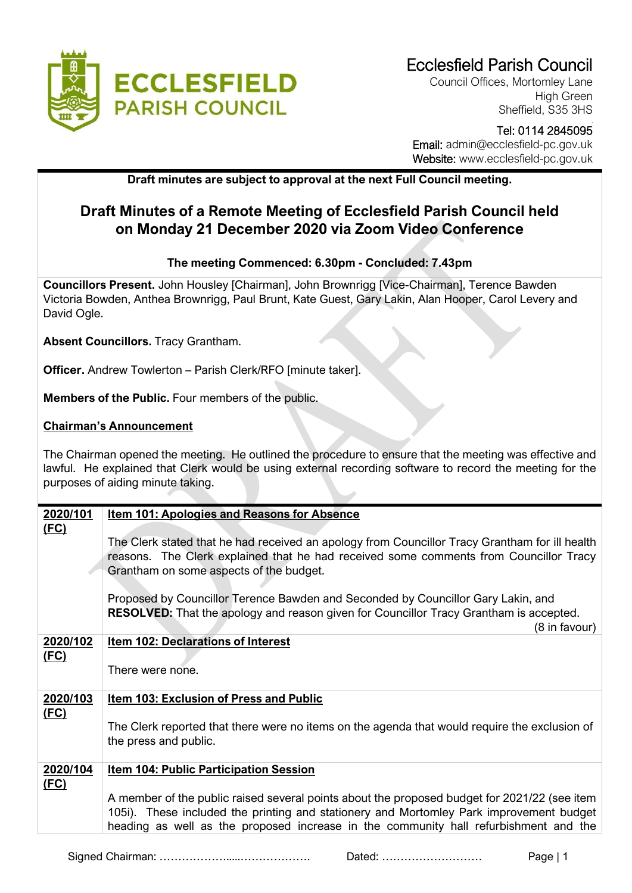

Council Offices, Mortomley Lane High Green Sheffield, S35 3HS

## Tel: 0114 2845095 Email: admin@ecclesfield-pc.gov.uk Website: www.ecclesfield-pc.gov.uk

**Draft minutes are subject to approval at the next Full Council meeting.** 

## **Draft Minutes of a Remote Meeting of Ecclesfield Parish Council held on Monday 21 December 2020 via Zoom Video Conference**

## **The meeting Commenced: 6.30pm - Concluded: 7.43pm**

**Councillors Present.** John Housley [Chairman], John Brownrigg [Vice-Chairman], Terence Bawden Victoria Bowden, Anthea Brownrigg, Paul Brunt, Kate Guest, Gary Lakin, Alan Hooper, Carol Levery and David Ogle.

**Absent Councillors.** Tracy Grantham.

**Officer.** Andrew Towlerton – Parish Clerk/RFO [minute taker].

**Members of the Public.** Four members of the public.

## **Chairman's Announcement**

The Chairman opened the meeting. He outlined the procedure to ensure that the meeting was effective and lawful. He explained that Clerk would be using external recording software to record the meeting for the purposes of aiding minute taking.

| 2020/101    | <b>Item 101: Apologies and Reasons for Absence</b>                                                                                                                                                                                                                              |  |
|-------------|---------------------------------------------------------------------------------------------------------------------------------------------------------------------------------------------------------------------------------------------------------------------------------|--|
| <u>(FC)</u> | The Clerk stated that he had received an apology from Councillor Tracy Grantham for ill health<br>reasons. The Clerk explained that he had received some comments from Councillor Tracy<br>Grantham on some aspects of the budget.                                              |  |
|             | Proposed by Councillor Terence Bawden and Seconded by Councillor Gary Lakin, and<br><b>RESOLVED:</b> That the apology and reason given for Councillor Tracy Grantham is accepted.<br>(8 in favour)                                                                              |  |
| 2020/102    | Item 102: Declarations of Interest                                                                                                                                                                                                                                              |  |
| <u>(FC)</u> | There were none.                                                                                                                                                                                                                                                                |  |
| 2020/103    | Item 103: Exclusion of Press and Public                                                                                                                                                                                                                                         |  |
| (FC)        | The Clerk reported that there were no items on the agenda that would require the exclusion of<br>the press and public.                                                                                                                                                          |  |
| 2020/104    | <b>Item 104: Public Participation Session</b>                                                                                                                                                                                                                                   |  |
| <u>(FC)</u> | A member of the public raised several points about the proposed budget for 2021/22 (see item<br>105i). These included the printing and stationery and Mortomley Park improvement budget<br>heading as well as the proposed increase in the community hall refurbishment and the |  |

Signed Chairman: ……………….....………………. Dated: ……………………… Page | 1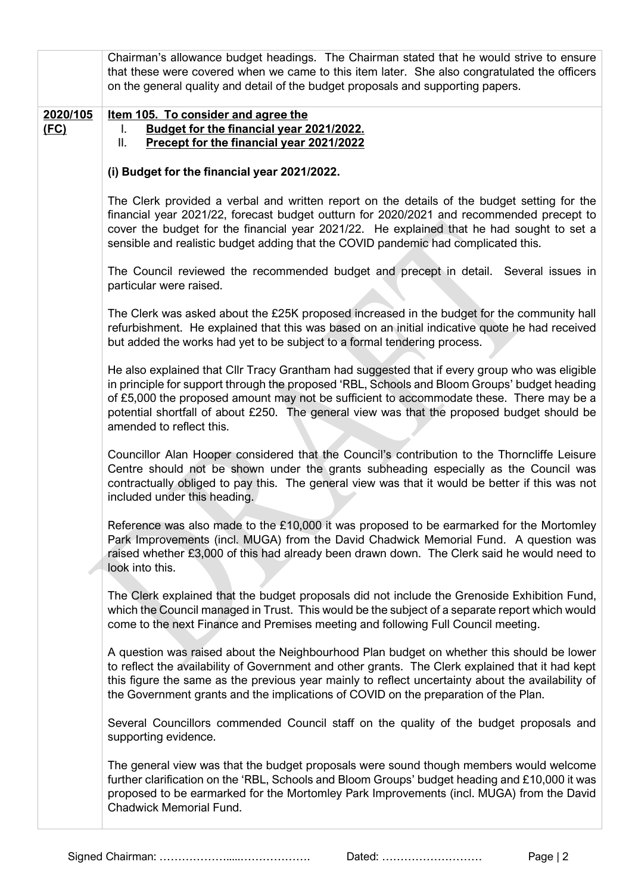|                         | Chairman's allowance budget headings. The Chairman stated that he would strive to ensure<br>that these were covered when we came to this item later. She also congratulated the officers<br>on the general quality and detail of the budget proposals and supporting papers.                                                                                                                                        |  |  |
|-------------------------|---------------------------------------------------------------------------------------------------------------------------------------------------------------------------------------------------------------------------------------------------------------------------------------------------------------------------------------------------------------------------------------------------------------------|--|--|
| 2020/105<br><u>(FC)</u> | Item 105. To consider and agree the<br>Budget for the financial year 2021/2022.<br>L.<br>Precept for the financial year 2021/2022<br>Ш.                                                                                                                                                                                                                                                                             |  |  |
|                         | (i) Budget for the financial year 2021/2022.                                                                                                                                                                                                                                                                                                                                                                        |  |  |
|                         | The Clerk provided a verbal and written report on the details of the budget setting for the<br>financial year 2021/22, forecast budget outturn for 2020/2021 and recommended precept to<br>cover the budget for the financial year 2021/22. He explained that he had sought to set a<br>sensible and realistic budget adding that the COVID pandemic had complicated this.                                          |  |  |
|                         | The Council reviewed the recommended budget and precept in detail. Several issues in<br>particular were raised.                                                                                                                                                                                                                                                                                                     |  |  |
|                         | The Clerk was asked about the £25K proposed increased in the budget for the community hall<br>refurbishment. He explained that this was based on an initial indicative quote he had received<br>but added the works had yet to be subject to a formal tendering process.                                                                                                                                            |  |  |
|                         | He also explained that Cllr Tracy Grantham had suggested that if every group who was eligible<br>in principle for support through the proposed 'RBL, Schools and Bloom Groups' budget heading<br>of £5,000 the proposed amount may not be sufficient to accommodate these. There may be a<br>potential shortfall of about £250. The general view was that the proposed budget should be<br>amended to reflect this. |  |  |
|                         | Councillor Alan Hooper considered that the Council's contribution to the Thorncliffe Leisure<br>Centre should not be shown under the grants subheading especially as the Council was<br>contractually obliged to pay this. The general view was that it would be better if this was not<br>included under this heading.                                                                                             |  |  |
|                         | Reference was also made to the £10,000 it was proposed to be earmarked for the Mortomley<br>Park Improvements (incl. MUGA) from the David Chadwick Memorial Fund. A question was<br>raised whether £3,000 of this had already been drawn down. The Clerk said he would need to<br>look into this.                                                                                                                   |  |  |
|                         | The Clerk explained that the budget proposals did not include the Grenoside Exhibition Fund,<br>which the Council managed in Trust. This would be the subject of a separate report which would<br>come to the next Finance and Premises meeting and following Full Council meeting.                                                                                                                                 |  |  |
|                         | A question was raised about the Neighbourhood Plan budget on whether this should be lower<br>to reflect the availability of Government and other grants. The Clerk explained that it had kept<br>this figure the same as the previous year mainly to reflect uncertainty about the availability of<br>the Government grants and the implications of COVID on the preparation of the Plan.                           |  |  |
|                         | Several Councillors commended Council staff on the quality of the budget proposals and<br>supporting evidence.                                                                                                                                                                                                                                                                                                      |  |  |
|                         | The general view was that the budget proposals were sound though members would welcome<br>further clarification on the 'RBL, Schools and Bloom Groups' budget heading and £10,000 it was<br>proposed to be earmarked for the Mortomley Park Improvements (incl. MUGA) from the David<br><b>Chadwick Memorial Fund.</b>                                                                                              |  |  |

Signed Chairman: ……………….....………………. Dated: ……………………… Page | 2